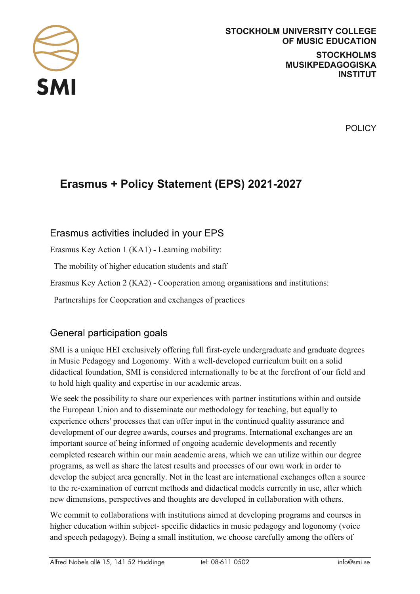

POLICY

# **Erasmus + Policy Statement (EPS) 2021-2027**

### Erasmus activities included in your EPS

Erasmus Key Action 1 (KA1) - Learning mobility:

The mobility of higher education students and staff

Erasmus Key Action 2 (KA2) - Cooperation among organisations and institutions:

Partnerships for Cooperation and exchanges of practices

## General participation goals

SMI is a unique HEI exclusively offering full first-cycle undergraduate and graduate degrees in Music Pedagogy and Logonomy. With a well-developed curriculum built on a solid didactical foundation, SMI is considered internationally to be at the forefront of our field and to hold high quality and expertise in our academic areas.

We seek the possibility to share our experiences with partner institutions within and outside the European Union and to disseminate our methodology for teaching, but equally to experience others' processes that can offer input in the continued quality assurance and development of our degree awards, courses and programs. International exchanges are an important source of being informed of ongoing academic developments and recently completed research within our main academic areas, which we can utilize within our degree programs, as well as share the latest results and processes of our own work in order to develop the subject area generally. Not in the least are international exchanges often a source to the re-examination of current methods and didactical models currently in use, after which new dimensions, perspectives and thoughts are developed in collaboration with others.

We commit to collaborations with institutions aimed at developing programs and courses in higher education within subject- specific didactics in music pedagogy and logonomy (voice and speech pedagogy). Being a small institution, we choose carefully among the offers of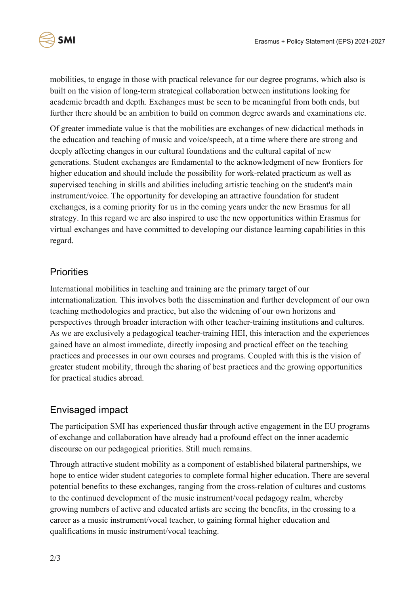

mobilities, to engage in those with practical relevance for our degree programs, which also is built on the vision of long-term strategical collaboration between institutions looking for academic breadth and depth. Exchanges must be seen to be meaningful from both ends, but further there should be an ambition to build on common degree awards and examinations etc.

Of greater immediate value is that the mobilities are exchanges of new didactical methods in the education and teaching of music and voice/speech, at a time where there are strong and deeply affecting changes in our cultural foundations and the cultural capital of new generations. Student exchanges are fundamental to the acknowledgment of new frontiers for higher education and should include the possibility for work-related practicum as well as supervised teaching in skills and abilities including artistic teaching on the student's main instrument/voice. The opportunity for developing an attractive foundation for student exchanges, is a coming priority for us in the coming years under the new Erasmus for all strategy. In this regard we are also inspired to use the new opportunities within Erasmus for virtual exchanges and have committed to developing our distance learning capabilities in this regard.

## **Priorities**

International mobilities in teaching and training are the primary target of our internationalization. This involves both the dissemination and further development of our own teaching methodologies and practice, but also the widening of our own horizons and perspectives through broader interaction with other teacher-training institutions and cultures. As we are exclusively a pedagogical teacher-training HEI, this interaction and the experiences gained have an almost immediate, directly imposing and practical effect on the teaching practices and processes in our own courses and programs. Coupled with this is the vision of greater student mobility, through the sharing of best practices and the growing opportunities for practical studies abroad.

## Envisaged impact

The participation SMI has experienced thusfar through active engagement in the EU programs of exchange and collaboration have already had a profound effect on the inner academic discourse on our pedagogical priorities. Still much remains.

Through attractive student mobility as a component of established bilateral partnerships, we hope to entice wider student categories to complete formal higher education. There are several potential benefits to these exchanges, ranging from the cross-relation of cultures and customs to the continued development of the music instrument/vocal pedagogy realm, whereby growing numbers of active and educated artists are seeing the benefits, in the crossing to a career as a music instrument/vocal teacher, to gaining formal higher education and qualifications in music instrument/vocal teaching.